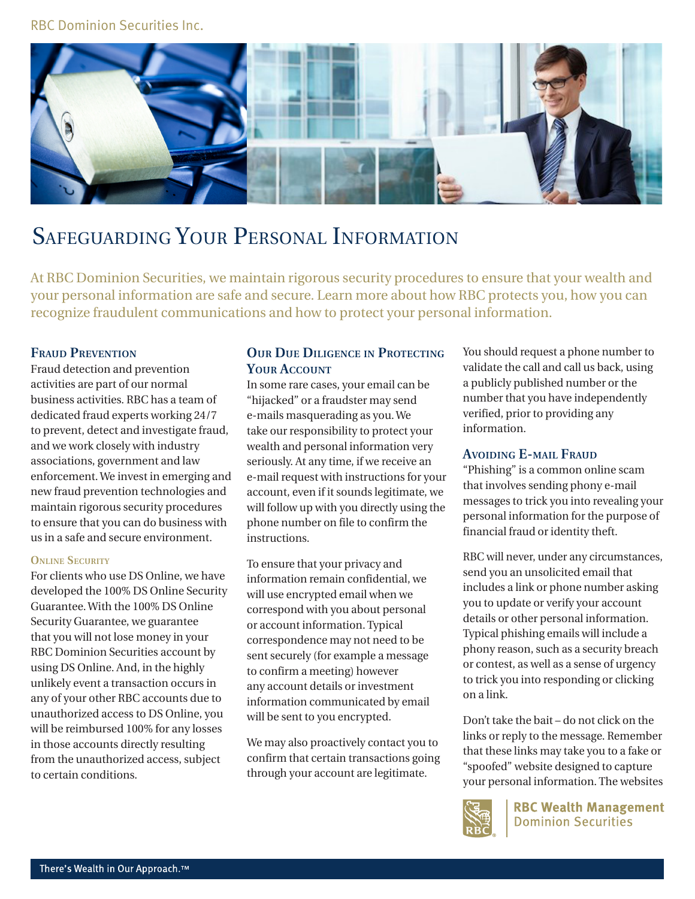## RBC Dominion Securities Inc.



# Safeguarding Your Personal Information

At RBC Dominion Securities, we maintain rigorous security procedures to ensure that your wealth and your personal information are safe and secure. Learn more about how RBC protects you, how you can recognize fraudulent communications and how to protect your personal information.

## **Fraud Prevention**

Fraud detection and prevention activities are part of our normal business activities. RBC has a team of dedicated fraud experts working 24/7 to prevent, detect and investigate fraud, and we work closely with industry associations, government and law enforcement. We invest in emerging and new fraud prevention technologies and maintain rigorous security procedures to ensure that you can do business with us in a safe and secure environment.

#### **ONLINE SECURITY**

For clients who use DS Online, we have developed the 100% DS Online Security Guarantee. With the 100% DS Online Security Guarantee, we guarantee that you will not lose money in your RBC Dominion Securities account by using DS Online. And, in the highly unlikely event a transaction occurs in any of your other RBC accounts due to unauthorized access to DS Online, you will be reimbursed 100% for any losses in those accounts directly resulting from the unauthorized access, subject to certain conditions.

## **Our Due Diligence in Protecting Your Account**

In some rare cases, your email can be "hijacked" or a fraudster may send e-mails masquerading as you. We take our responsibility to protect your wealth and personal information very seriously. At any time, if we receive an e-mail request with instructions for your account, even if it sounds legitimate, we will follow up with you directly using the phone number on file to confirm the instructions.

To ensure that your privacy and information remain confidential, we will use encrypted email when we correspond with you about personal or account information. Typical correspondence may not need to be sent securely (for example a message to confirm a meeting) however any account details or investment information communicated by email will be sent to you encrypted.

We may also proactively contact you to confirm that certain transactions going through your account are legitimate.

You should request a phone number to validate the call and call us back, using a publicly published number or the number that you have independently verified, prior to providing any information.

### **Avoiding E-mail Fraud**

"Phishing" is a common online scam that involves sending phony e-mail messages to trick you into revealing your personal information for the purpose of financial fraud or identity theft.

RBC will never, under any circumstances, send you an unsolicited email that includes a link or phone number asking you to update or verify your account details or other personal information. Typical phishing emails will include a phony reason, such as a security breach or contest, as well as a sense of urgency to trick you into responding or clicking on a link.

Don't take the bait – do not click on the links or reply to the message. Remember that these links may take you to a fake or "spoofed" website designed to capture your personal information. The websites



**RBC Wealth Management Dominion Securities**